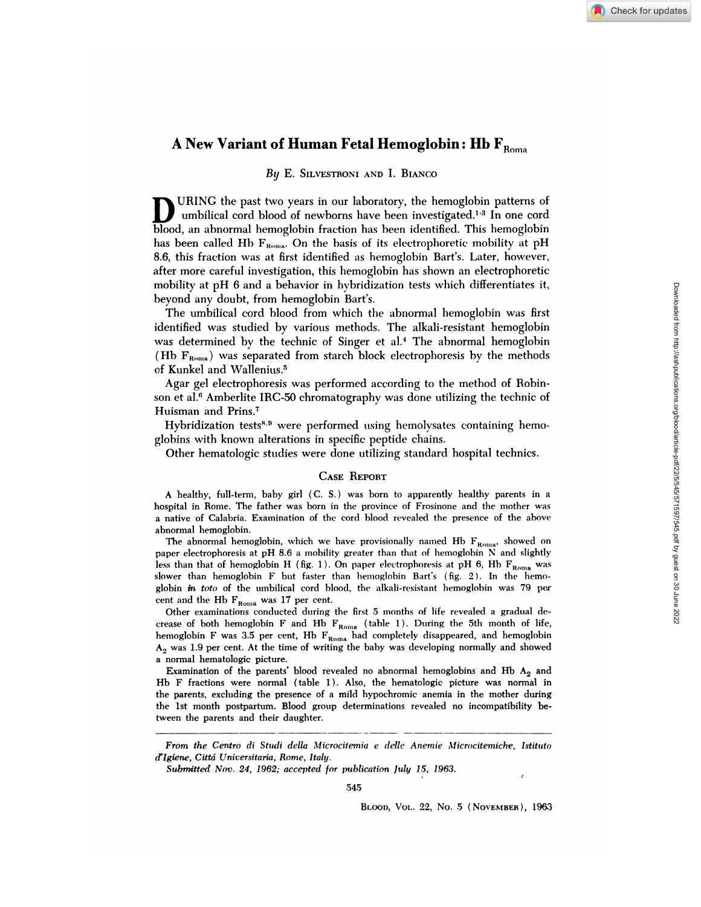# **A New Variant of Human Fetal Hemoglobin: Hb**  $\mathbf{F}_{\text{Roma}}$

#### By E. SILVESTRONI AND I. BIANCO

URING the past two years in our laboratory, the hemoglobin patterns of umbilical cord blood of newborns have been investigated.<sup>1-3</sup> In one cord blood, an abnormal hemoglobin fraction has been identified. This hemoglobin has been called Hb  $F_{\text{Roma}}$ . On the basis of its electrophoretic mobility at pH 8.6, this fraction was at first identified as hemoglobin Bart's. Later, however, after more careful investigation, this hemoglobin has shown an electrophoretic mobility at pH 6 and a behavior in hybridization tests which differentiates it, beyond any doubt, from hemoglobin Bart's.

The umbilical cord blood from which the abnormal hemoglobin was first identified was studied by various methods. The alkali-resistant hemoglobin was determined by the technic of Singer et al.<sup>4</sup> The abnormal hemoglobin (Hb  $F_{\text{Roma}}$ ) was separated from starch block electrophoresis by the methods of Kunkel and Wallenius.5

Agar gel electrophoresis was performed according to the method of Robin son et al.<sup>6</sup> Amberlite IRC-50 chromatography was done utilizing the technic of Huisman and Prins.7

Hybridization tests<sup>8,9</sup> were performed using hemolysates containing hemoglobins with known alterations in specific peptide chains.

Other hematologic studies were done utilizing standard hospital technics.

#### CASE REPORT

A healthy, full-term, baby girl (C. S.) was born to apparently healthy parents in a hospital in Rome. The father was born in the province of Frosinone and the mother was a native of Calabria. Examination of the cord blood revealed the presence of the above abnormal hemoglobin.

The abnormal hemoglobin, which we have provisionally named Hb  $F_{Roma}$ , showed on paper electrophoresis at pH 8.6 a mobility greater than that of hemoglobin N and slightly less than that of hemoglobin H (fig. 1). On paper electrophoresis at pH 6, Hb  $F_{\text{Roma}}$  was slower than hemoglobin F but fasten than hemoglobin Bart's (fig. 2). In the hemo globin *in tote* of the umbilical cord blood, the alkali-resistant hemoglobin was 79 per cent and the Hb  $F_{\text{Roma}}$  was 17 per cent.

Other examinations conducted during the first 5 months of life revealed a gradual de crease of both hemoglobin F and Hb  $F_{Roma}$  (table 1). During the 5th month of life, hemoglobin F was 3.5 per cent, Hb  $F_{Roma}$  had completely disappeared, and hemoglobin  $A<sub>2</sub>$  was 1.9 per cent. At the time of writing the baby was developing normally and showed a normal hematologic picture.

Examination of the parents' blood revealed no abnormal hemoglobins and Hb  $A_2$  and Hb F fractions were normal (table 1). Also, the hematologic picture was normal in the parents, excluding the presence of a mild hypochromic anemia in the mother during the 1st month postpartum. Blood group determinations revealed no incompatibility between the parents and their daughter.

BLooD, VOL. 22, No. 5 (NOVEMBER), 1963

*From the Centro di Studi della Microcitemia e delle Aneinie Al icrocitemiche, Istituto d'Igiene, Cud Universitaria, Rome, Italy.*

*Subm'itted Nov. 24, 1962; accepted for inthilcation July 15, 1963.*

<sup>545</sup>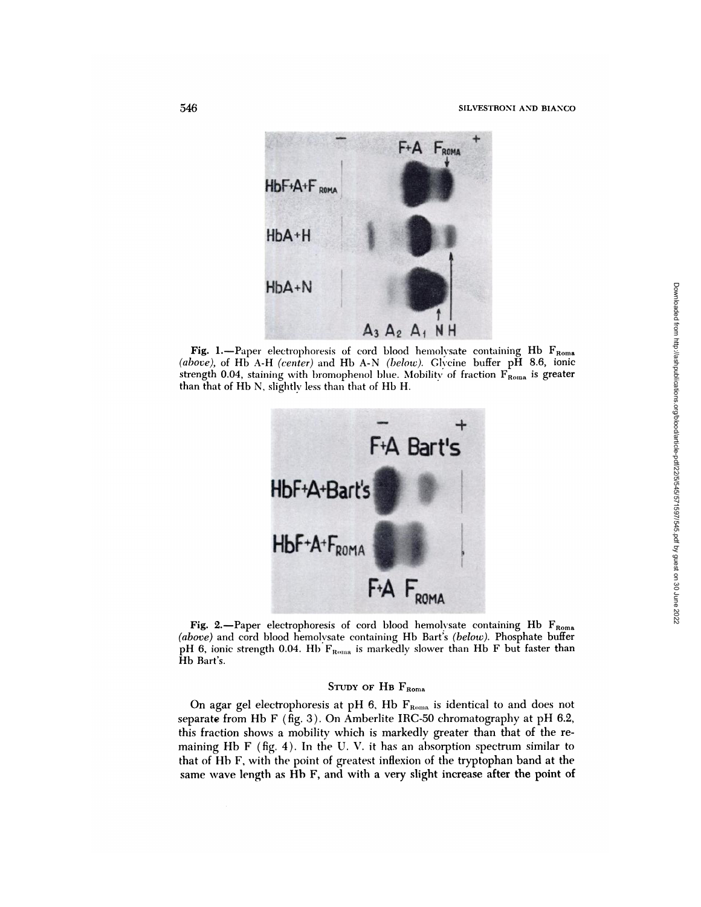

**Fig.** 1.—Paper electrophoresis of cord blood hemolysate containing Hb  $F_{\text{Roma}}$ *(above),* of Hb A-H *(center)* and Hb A-N *(below).* Clvcine buffer pH 8.6, ionic strength 0.04, staining with bromophenol blue. Mobility of fraction  $F_{Roma}$  is greater than that of Hb N, slightly less than that of Hb H.



Fig. 2.-Paper electrophoresis of cord blood hemolysate containing Hb  $F_{\text{Roma}}$ *(above)* and cord blood hemolvsate containing Hb Bart's *(below).* Phosphate buffer pH 6, ionic strength 0.04. Hb  $F_{Roma}$  is markedly slower than Hb F but faster than Hb Bart's.

# STUDY OF HB FROMA

On agar gel electrophoresis at pH 6, Hb  $F_{Roma}$  is identical to and does not separate from Hb F (fig. 3). On Amberlite IRC-50 chromatography at pH 6.2, this fraction shows a mobility which is markedly greater than that of the re maining Hb F (fig. 4). In the U. V. it has an absorption spectrum similar to that of Hb F, with the point of greatest inflexion of the tryptophan band at the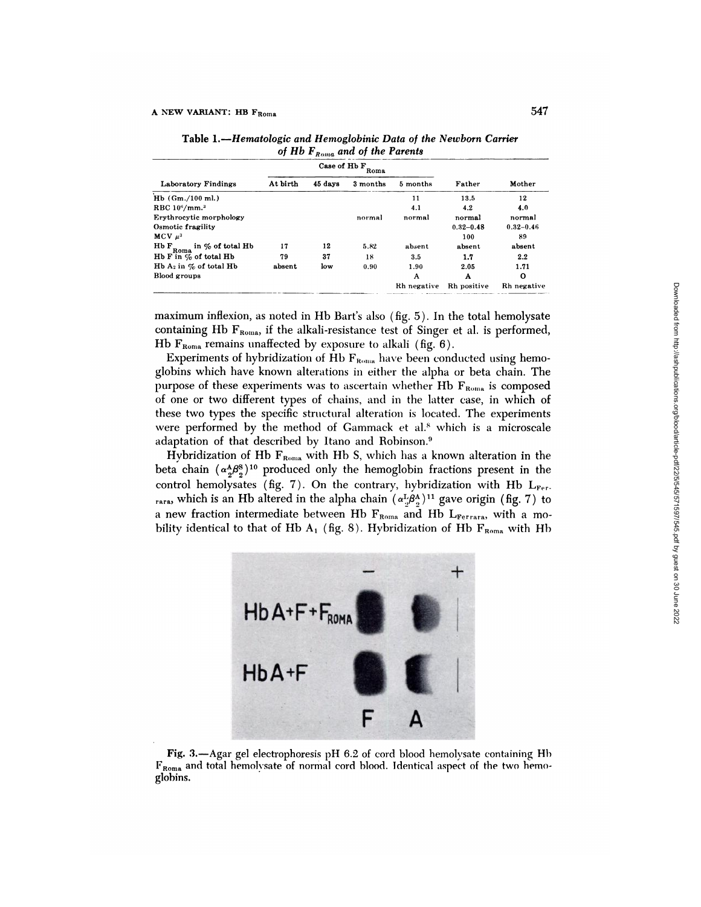| Laboratory Findings                           | Case of Hb F<br>Roma |         |          |             |               |               |
|-----------------------------------------------|----------------------|---------|----------|-------------|---------------|---------------|
|                                               | At birth             | 45 days | 3 months | 5 months    | Father        | Mother        |
| $Hb$ (Gm./100 ml.)                            |                      |         |          | 11          | 13.5          | 12            |
| RBC $10^6$ /mm. <sup>3</sup>                  |                      |         |          | 4.1         | 4.2           | 4.0           |
| Erythrocytic morphology                       |                      |         | normal   | normal      | normal        | normal        |
| Osmotic fragility                             |                      |         |          |             | $0.32 - 0.48$ | $0.32 - 0.46$ |
| $MCV$ $\mu^3$                                 |                      |         |          |             | 100           | 89            |
| Hb F<br>$F_{\text{Roma}}$ in $\%$ of total Hb | 17                   | 12      | 5.82     | absent      | absent        | absent        |
| Hb $F$ in $\%$ of total Hb                    | 79                   | 37      | 18       | $3.5\,$     | 1.7           | 2.2           |
| Hb $A_2$ in $\%$ of total Hb                  | absent               | low     | 0.90     | 1.90        | 2.05          | 1.71          |
| Blood groups                                  |                      |         |          | A           | A             | O             |
|                                               |                      |         |          | Rh negative | Rh positive   | Rh negative   |
|                                               |                      |         |          |             |               |               |

Table *1.-Hematologic and Hemoglobinic Data of the Newborn Carrier of Hb FRr,,;a and of the Parents*

maximum inflexion, as noted in Hb Bart's also (fig. 5). In the total hemolysate containing Hb  $F_{\text{Roma}}$ , if the alkali-resistance test of Singer et al. is performed, Hb  $F_{\text{Roma}}$  remains unaffected by exposure to alkali (fig. 6).

Experiments of hybridization of Hb  $F_{Roma}$  have been conducted using hemogiobins which have known alterations in either the alpha or beta chain. The purpose of these experiments was to ascertain whether Hb  $F_{\text{Roma}}$  is composed of one or two different types of chains, and in the latter case, in which of these two types the specific structural alteration is located. The experiments were performed by the method of Gammack et al.<sup>8</sup> which is a microscale adaptation of that described by Itano and Robinson.9

Hybridization of Hb  $F_{Roma}$  with Hb S, which has a known alteration in the beta chain  $(\alpha_2^A \beta_2^8)^{10}$  produced only the hemoglobin fractions present in the control hemolysates (fig. 7). On the contrary, hybridization with Hb  $L_{\text{Fer}}$ . rara, which is an Hb altered in the alpha chain  $(\alpha^L \beta^A)$ <sup>11</sup> gave origin (fig. 7) to a new fraction intermediate between Hb  $F_{Roma}$  and Hb  $L_{Ferrara}$ , with a mobility identical to that of Hb A<sub>1</sub> (fig. 8). Hybridization of Hb  $F_{Roma}$  with Hb



Fig. 3.-Agar gel electrophoresis pH 6.2 of cord blood hemolysate containing Hb FRoma and total hernolvsate of normal cord blood. Identical aspect of the two hemo glohins.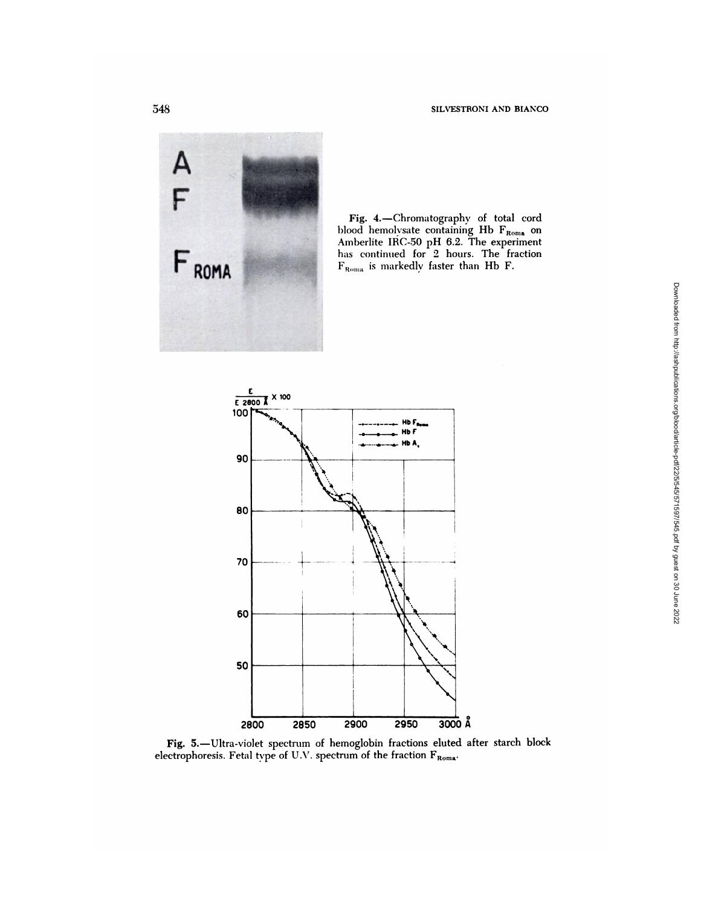Ă District de la provincia de la provincia de la provincia de la provincia de la provincia de la provincia de<br>District de la provincia de la provincia de la provincia de la provincia de la provincia de la provincia de la



Fig. 4.-Chromatography of total cord blood hemolvsate containing Hb F<sub>Roma</sub> on Amberlite IRC-50 pH 6.2. The experiment has continued for 2 hours. The fraction  $\mathbf{F}_{\text{Roms}}$  is markedly faster than Hb F.



Fig. 5.-Ultra-violet spectrum of hemoglobin fractions eluted after starch block electrophoresis. Fetal type of U.V. spectrum of the fraction  $\mathbf{F}_{\text{Roma}}$ .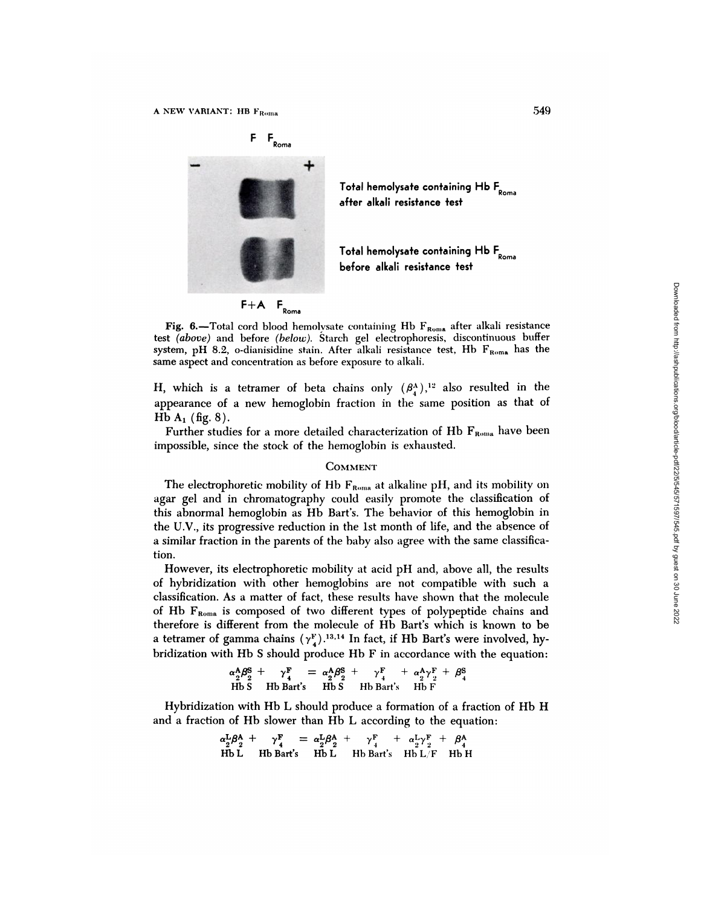

Total hemolysate containing Hb F **Roma** after alkali resistance test

Total hemolysate containing Hb F **Roma** before alkali resistance test

Fig. 6.-Total cord blood hemolysate containing Hb  $F_{R_{\text{O}} m_{\text{A}}}$  after alkali resistance test *(above)* and before *(below).* Starch gel electrophoresis, discontinuous buffer system, pH 8.2, o-dianisidine stain. After alkali resistance test, Hb  $F_{\text{Roma}}$  has the same aspect and **concentration as before exposure to** alkali.

H, which is a tetramer of beta chains only  $(\beta_4^{\Lambda})$ ,<sup>12</sup> also resulted in the appearance of a new hemoglobin fraction in the same position as that of Hb  $A_1$  (fig. 8).

Further studies for a more detailed characterization of Hb F<sub>Roma</sub> have been impossible, since the stock of the hemoglobin is exhausted.

#### **COMMENT**

The electrophoretic mobility of Hb  $F_{Roma}$  at alkaline pH, and its mobility on agar gel and in chromatography could easily promote the classification of this abnormal hemoglobin as Hb Bart's. The behavior of this hemoglobin in the U.V., its progressive reduction in the 1st month of life, and the absence of a similar fraction in the parents of the baby also agree with the same classification.

However, its electrophoretic mobility at acid pH and, above all, the results of hybridization with other hemoglobins are not compatible with such a classification. As a matter of fact, these results have shown that the molecule of Hb  $F_{Roma}$  is composed of two different types of polypeptide chains and therefore is different from the molecule of Hb Bart's which is known to be a tetramer of gamma chains  $(\gamma_A^F)$ .<sup>13,14</sup> In fact, if Hb Bart's were involved, hybridization with Hb S should produce Hb F in accordance with the equation: F+A F<sub>Roma</sub><br>
Hal cord blood hemolysate containing Hb F<sub>Roma</sub> after alkali resistance<br>
2, o-dianisdine stain. After alkali resistance test, Hb F<sub>Roma</sub> has the<br>
2, o-dianisdine stain. After alkali resistance test, Hb F<sub>Roma</sub>

$$
\alpha_2^{\mathsf{A}} \beta_2^{\mathsf{S}} + \gamma_4^{\mathsf{F}} = \alpha_2^{\mathsf{A}} \beta_2^{\mathsf{S}} + \gamma_4^{\mathsf{F}} + \alpha_2^{\mathsf{A}} \gamma_2^{\mathsf{F}} + \beta_4^{\mathsf{S}}
$$
  
Hb S Hb Bart's Hb S Hb Bart's Hb F

Hybridization with Hb L should produce a formation of a fraction of Hb H and a fraction of Hb slower than Hb L according to the equation:

$$
\alpha_2^L \beta_2^A + \gamma_4^F = \alpha_2^L \beta_2^A + \gamma_4^F + \alpha_2^L \gamma_2^F + \beta_4^A
$$
  
Hb L Hb Bart's Hb L Hb Bart's Hb L/F Hb H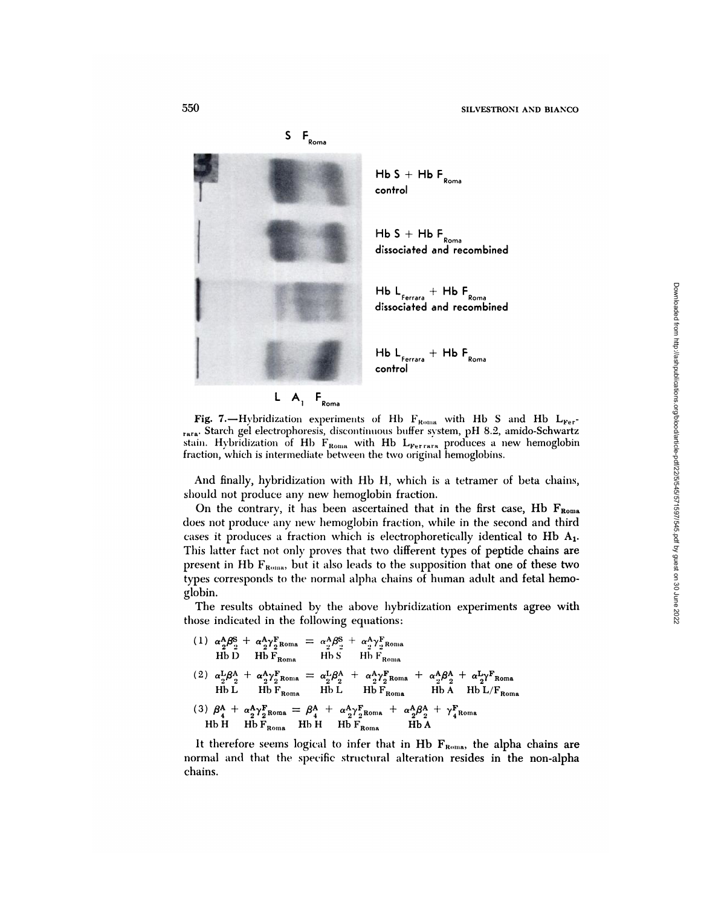

 ${\sf H}{\sf b}$   ${\sf S}{\sf +}{\sf H}{\sf b}{\sf F}_{\sf Roma}$ control

 ${\sf H}{\sf b}$   ${\sf S}{\sf +}{\sf H}{\sf b}{\sf F}_{\sf Roma}$ dissociated and recombined

Hb L<sub>Ferrara</sub> + Hb H<sub>Roma</sub><br>dissociated and recombined

**I** HbL +HbF Ferrara Roma<br>**CONTROL** 

Fig. 7.-Hybridization experiments of Hb F<sub>Roma</sub> with Hb S and Hb  $L_{\text{Fer}}$ rara Starch gel electrophoresis, discontinuous buffer system, pH 8.2, amido-Schwartz stain. Hybridization of Hb  $F_{\text{Roma}}$  with Hb  $L_{\text{Ferrara}}$  produces a new hemoglobin fraction, which is intermediate between the two original hemoglobins.

And finally, hybridization with Hb H, which is a tetramer of beta chains, should not produce any new hemoglobin fraction.

On the contrary, it has been ascertained that in the first case, Hb FROMB does not produce any new hemoglobin fraction, while in the second and third cases it produces a fraction which is electrophoretically identical to Hb A1. This latter fact not only proves that two different types of peptide chains are present in Hb  $F_{\text{Roma}}$ , but it also leads to the supposition that one of these two types corresponds to the normal alpha chains of human adult and fetal hemoglobin.

The results obtained by the above hybridization experiments agree with those indicated in the following equations:

(1) 
$$
\alpha_2^A \beta_2^S + \alpha_2^A \gamma_{\text{P. Roma}}^F = \alpha_2^A \beta_2^S + \alpha_2^A \gamma_{\text{P. Roma}}^F
$$
  
\nHb D Hb F<sub>Roma</sub> Hb S Hb F<sub>Roma</sub>  
\n(2)  $\alpha_2^L \beta_2^A + \alpha_2^A \gamma_{\text{P. Roma}}^F = \alpha_2^L \beta_2^A + \alpha_2^A \gamma_{\text{P. Roma}}^F + \alpha_2^A \beta_2^A + \alpha_2^L \gamma_{\text{Roma}}^F$   
\nHb L Hb F<sub>Roma</sub> Hb L Hb F<sub>Roma</sub> Hb A Hb L/F<sub>Roma</sub>  
\n(3)  $\beta_4^A + \alpha_2^A \gamma_{\text{P. Roma}}^F = \beta_4^A + \alpha_2^A \gamma_{\text{P. Roma}}^F + \alpha_2^A \beta_2^A + \gamma_{\text{Roma}}^F$   
\nHb H Hb F<sub>Roma</sub> Hb H Hb F<sub>Roma</sub> Hb A

It therefore seems logical to infer that in Hb  $F_{\text{Roma}}$ , the alpha chains are normal and that the specific structural alteration resides in the non-alpha chains.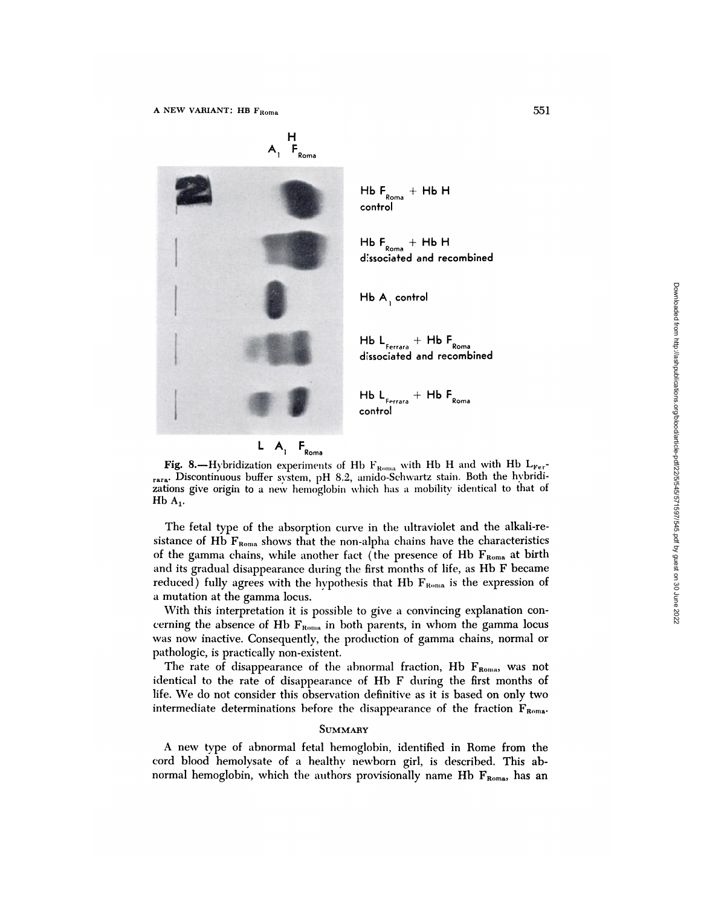$A_1$   $F_{Roma}$ **#{149}1** <sup>+</sup> Hb <sup>F</sup> Rome Hb L Ferrere

 $HbF$ <sub>Roma</sub> +  $HbH$ control

 $H\mathsf{b}$   $\mathsf{F}_{\mathsf{Roma}}$   $+$   $H\mathsf{b}$   $H$ dissociated and recombined

 $HbA$ , control

 $\mathsf{H}_{\mathsf{Fermara}}$  +  $\mathsf{H}_{\mathsf{Roma}}$ <br>dissociated and recombined

control



H

**Fig. 8.—Hybridization experiments of Hb**  $F_{\text{Roma}}$  **with Hb H and with Hb L<sub>Fer</sub>**rara Discontinuous buffer system, pH 8.2, amido-Schwartz stain. Both the hybridizations give origin to a new hemoglobin which has a mobility identical to that of  $Hb A_1$ .

The fetal type of the absorption curve in the ultraviolet and the alkali-resistance of Hb  $F_{\text{Roma}}$  shows that the non-alpha chains have the characteristics of the gamma chains, while another fact (the presence of Hb  $F_{\text{Roma}}$  at birth and its gradual disappearance during the first months of life, as  $Hb$  F became reduced) fully agrees with the hypothesis that Hb  $F_{Roma}$  is the expression of a mutation at the gamma locus. **Fig. hemoglobin**<br> **Hb**  $L_{r_{\text{mean}}}$  **Hb**  $F_{\text{Ress}}$ <br> **Hb**  $L_{r_{\text{mean}}}$  **H**  $H$  **H**  $F_{\text{Ress}}$ <br> **Fig.** 8.—Hybridization experiments of Hb  $V_{\text{Ress}}$  with Hb H and with Hb  $L_{r_{\text{norm}}}$ ,  $\frac{1}{2}$ <br> **FROM** Downloades by the a

With this interpretation it is possible to give a convincing explanation concerning the absence of Hb  $F_{\text{Roma}}$  in both parents, in whom the gamma locus was now inactive. Consequently, the production of gamma chains, normal or pathologic, is practically non-existent.

The rate of disappearance of the abnormal fraction, Hb  $F_{\text{Roma}}$ , was not identical to the rate of disappearance of Hb F during the first months of life. We do not consider this observation definitive as it is based on only two intermediate determinations before the disappearance of the fraction  $F_{\text{Roma}}$ .

## **SUMMARY**

A new type of abnormal fetal hemoglobin, identified in Rome from the cord blood hemolysate of a healthy newborn girl, is described. This ab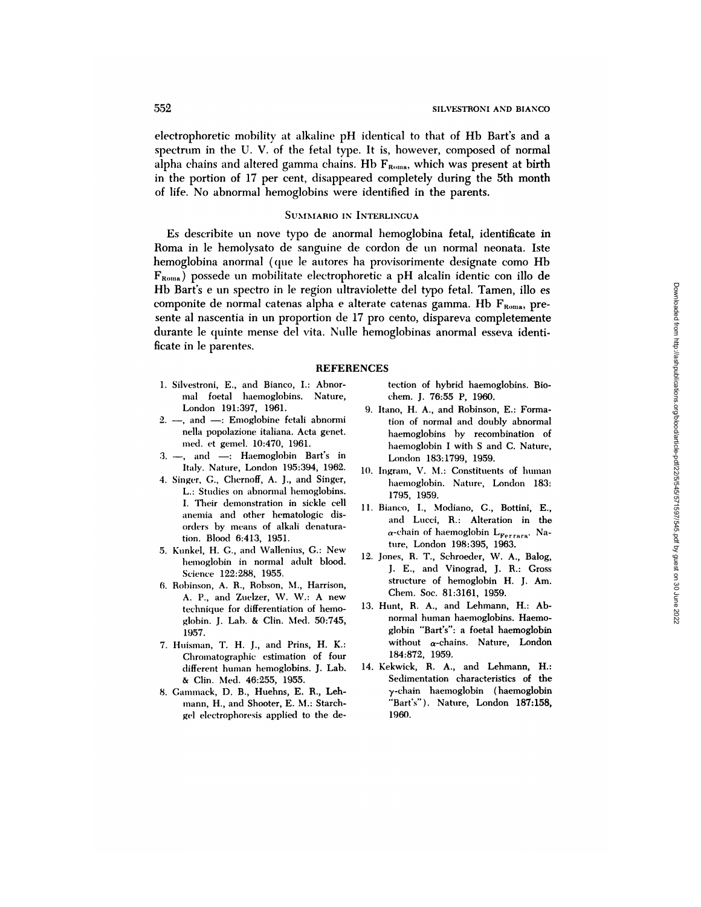electrophoretic mobility at alkaline pH identical to that of Hb Bart's and a spectrum in the U. V. of the fetal type. It is, however, composed of normal alpha chains and altered gamma chains. Hb  $F_{Roma}$ , which was present at birth in the portion of 17 per cent, disappeared completely during the 5th month of life. No abnormal hemoglobins were identified in the parents.

## SUMMARIO IN INTERLINGUA

Es describite un nove typo de anormal hemoglobina fetal, identificate in Roma in le hemoiysato de sanguine de cordon de un normal neonata. Iste hemoglobina anormal (que le autores ha provisorimente designate como Hb  $F_{Roma}$ ) possede un mobilitate electrophoretic a pH alcalin identic con illo de Hb Bart's e un spectro in le region ultraviolette del typo fetal. Tamen, illo es componite de normal catenas alpha e alterate catenas gamma. Hb  $F_{Roma}$ , presente al nascentia in un proportion de 17 pro cento, dispareva completemente durante le quinte mense del vita. Nulle hemoglobinas anormal esseva identificate in le parentes.

#### REFERENCES

- 1. Silvestroni, E., and Bianco, I.: Abnor mal foetal haemoglobins. Nature, London 191:397, 1961.
- $2. -$ , and  $-$ : Emoglobine fetali abnormi nella popolazione italiana. Acta genet. med. et gemel. 10:470, 1961.
- $3. -$ , and  $-$ : Haemoglobin Bart's in Italy. Nature, London 195:394, 1962.
- 4. Singer, G., Chernoff, A. J., and Singer, L.: Studies on abnormal hemoglobins. I. Their demonstration in sickle cell anemia and other hematologic dis orders by means of alkali denaturation. Blood 6:413, 1951.
- 5. Kunkel, H. G., and Wallenius, G.: New hemoglobin in normal adult blood. Science 122:288, 1955.
- 6. Robinson, A. R., Robson, M., Harrison, A. P., and Zuelzer, W. W.: A new technique for differentiation of hemo globin. J. Lab. & Clin. Med. 50:745, 1957.
- 7. Huisman, T. H. J., and Prins, H. K.: Chromatographic estimation of four different human hemoglobins. J. Lab. **&** Clin. Med. 46:255, 1955.
- 8. Gammack, D. B., Huehns, E. R., Leh mann, H., and Shooter, E. M.: Starchgel electrophoresis applied to the de-

tection of hybrid haemoglobins. Bio chem. J. 76:55 P, 1960.

- 9. Itano, H. A., and Robinson, E.: Formation of normal and doubly abnormal haemoglobins by recombination of haemoglobin I with S and C. Nature, London 183:1799, 1959.
- 10. Ingram, V. M.: Constituents of human haemoglobin. Nature, London 183: 1795, 1959.
- 11. Bianco, I., Modiano, C., Bottini, E., and Lucci, R.: Alteration in the  $\alpha$ -chain of haemoglobin L<sub>Ferrara</sub>. Nature, London 198:395, 1963.
- 12. Jones, R. T., Schroeder, W. A., Balog, J. E., and Vinograd, J. R.: Gross structure of hemoglobin H. J. Am. Chem. Soc. 81:3161, 1959.
- 13. Hunt, R. A., and Lehmann, H.: Abnormal **human** haemoglobins. Haemoglobin "Bart's": a foetal haemoglobin without  $\alpha$ -chains. Nature, London 184:872, 1959.
- 14. Kekwick, R. A., and Lehmann, H.: Sedimentation characteristics of the y-chain haemoglobin (haemoglobin "Bart's"). Nature, London 187:158, 1960.